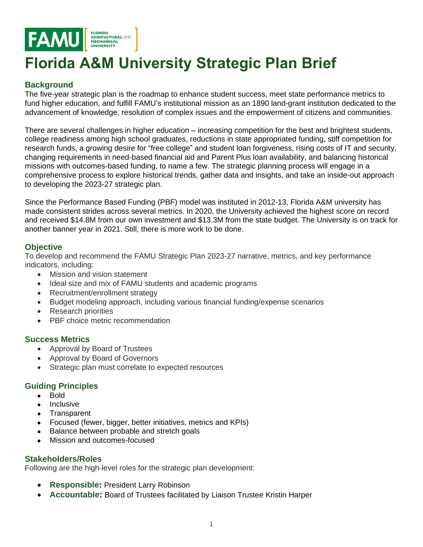

# **Florida A&M University Strategic Plan Brief**

## **Background**

The five-year strategic plan is the roadmap to enhance student success, meet state performance metrics to fund higher education, and fulfill FAMU's institutional mission as an 1890 land-grant institution dedicated to the advancement of knowledge, resolution of complex issues and the empowerment of citizens and communities.

There are several challenges in higher education – increasing competition for the best and brightest students, college readiness among high school graduates, reductions in state appropriated funding, stiff competition for research funds, a growing desire for "free college" and student loan forgiveness, rising costs of IT and security, changing requirements in need-based financial aid and Parent Plus loan availability, and balancing historical missions with outcomes-based funding, to name a few. The strategic planning process will engage in a comprehensive process to explore historical trends, gather data and insights, and take an inside-out approach to developing the 2023-27 strategic plan.

Since the Performance Based Funding (PBF) model was instituted in 2012-13, Florida A&M university has made consistent strides across several metrics. In 2020, the University achieved the highest score on record and received \$14.8M from our own investment and \$13.3M from the state budget. The University is on track for another banner year in 2021. Still, there is more work to be done.

## **Objective**

To develop and recommend the FAMU Strategic Plan 2023-27 narrative, metrics, and key performance indicators, including:

- Mission and vision statement
- Ideal size and mix of FAMU students and academic programs
- Recruitment/enrollment strategy
- Budget modeling approach, including various financial funding/expense scenarios
- Research priorities
- PBF choice metric recommendation

## **Success Metrics**

- Approval by Board of Trustees
- Approval by Board of Governors
- Strategic plan must correlate to expected resources

## **Guiding Principles**

- Bold
- **Inclusive**
- **Transparent**
- Focused (fewer, bigger, better initiatives, metrics and KPIs)
- Balance between probable and stretch goals
- Mission and outcomes-focused

## **Stakeholders/Roles**

Following are the high-level roles for the strategic plan development:

- **Responsible:** President Larry Robinson
- **Accountable:** Board of Trustees facilitated by Liaison Trustee Kristin Harper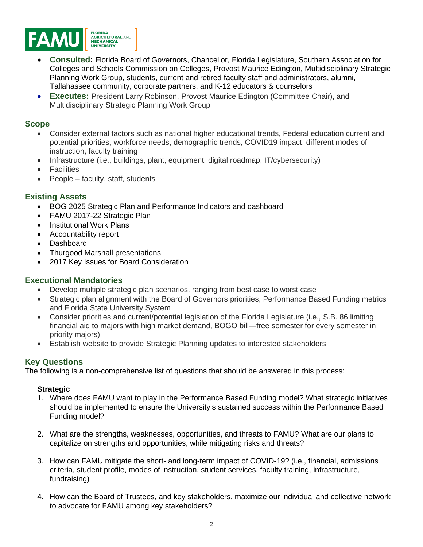

- **Consulted:** Florida Board of Governors, Chancellor, Florida Legislature, Southern Association for Colleges and Schools Commission on Colleges, Provost Maurice Edington, Multidisciplinary Strategic Planning Work Group, students, current and retired faculty staff and administrators, alumni, Tallahassee community, corporate partners, and K-12 educators & counselors
- **Executes:** President Larry Robinson, Provost Maurice Edington (Committee Chair), and Multidisciplinary Strategic Planning Work Group

### **Scope**

- Consider external factors such as national higher educational trends, Federal education current and potential priorities, workforce needs, demographic trends, COVID19 impact, different modes of instruction, faculty training
- Infrastructure (i.e., buildings, plant, equipment, digital roadmap, IT/cybersecurity)
- **Facilities**
- People faculty, staff, students

## **Existing Assets**

- BOG 2025 Strategic Plan and Performance Indicators and dashboard
- FAMU 2017-22 Strategic Plan
- Institutional Work Plans
- Accountability report
- Dashboard
- Thurgood Marshall presentations
- 2017 Key Issues for Board Consideration

#### **Executional Mandatories**

- Develop multiple strategic plan scenarios, ranging from best case to worst case
- Strategic plan alignment with the Board of Governors priorities, Performance Based Funding metrics and Florida State University System
- Consider priorities and current/potential legislation of the Florida Legislature (i.e., S.B. 86 limiting financial aid to majors with high market demand, BOGO bill—free semester for every semester in priority majors)
- Establish website to provide Strategic Planning updates to interested stakeholders

## **Key Questions**

The following is a non-comprehensive list of questions that should be answered in this process:

#### **Strategic**

- 1. Where does FAMU want to play in the Performance Based Funding model? What strategic initiatives should be implemented to ensure the University's sustained success within the Performance Based Funding model?
- 2. What are the strengths, weaknesses, opportunities, and threats to FAMU? What are our plans to capitalize on strengths and opportunities, while mitigating risks and threats?
- 3. How can FAMU mitigate the short- and long-term impact of COVID-19? (i.e., financial, admissions criteria, student profile, modes of instruction, student services, faculty training, infrastructure, fundraising)
- 4. How can the Board of Trustees, and key stakeholders, maximize our individual and collective network to advocate for FAMU among key stakeholders?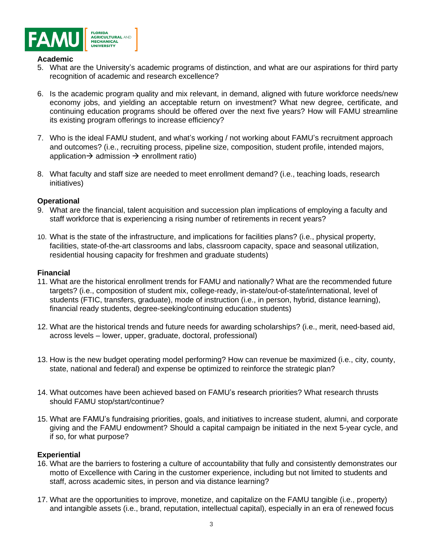

#### **Academic**

- 5. What are the University's academic programs of distinction, and what are our aspirations for third party recognition of academic and research excellence?
- 6. Is the academic program quality and mix relevant, in demand, aligned with future workforce needs/new economy jobs, and yielding an acceptable return on investment? What new degree, certificate, and continuing education programs should be offered over the next five years? How will FAMU streamline its existing program offerings to increase efficiency?
- 7. Who is the ideal FAMU student, and what's working / not working about FAMU's recruitment approach and outcomes? (i.e., recruiting process, pipeline size, composition, student profile, intended majors, application  $\rightarrow$  admission  $\rightarrow$  enrollment ratio)
- 8. What faculty and staff size are needed to meet enrollment demand? (i.e., teaching loads, research initiatives)

#### **Operational**

- 9. What are the financial, talent acquisition and succession plan implications of employing a faculty and staff workforce that is experiencing a rising number of retirements in recent years?
- 10. What is the state of the infrastructure, and implications for facilities plans? (i.e., physical property, facilities, state-of-the-art classrooms and labs, classroom capacity, space and seasonal utilization, residential housing capacity for freshmen and graduate students)

#### **Financial**

- 11. What are the historical enrollment trends for FAMU and nationally? What are the recommended future targets? (i.e., composition of student mix, college-ready, in-state/out-of-state/international, level of students (FTIC, transfers, graduate), mode of instruction (i.e., in person, hybrid, distance learning), financial ready students, degree-seeking/continuing education students)
- 12. What are the historical trends and future needs for awarding scholarships? (i.e., merit, need-based aid, across levels – lower, upper, graduate, doctoral, professional)
- 13. How is the new budget operating model performing? How can revenue be maximized (i.e., city, county, state, national and federal) and expense be optimized to reinforce the strategic plan?
- 14. What outcomes have been achieved based on FAMU's research priorities? What research thrusts should FAMU stop/start/continue?
- 15. What are FAMU's fundraising priorities, goals, and initiatives to increase student, alumni, and corporate giving and the FAMU endowment? Should a capital campaign be initiated in the next 5-year cycle, and if so, for what purpose?

#### **Experiential**

- 16. What are the barriers to fostering a culture of accountability that fully and consistently demonstrates our motto of Excellence with Caring in the customer experience, including but not limited to students and staff, across academic sites, in person and via distance learning?
- 17. What are the opportunities to improve, monetize, and capitalize on the FAMU tangible (i.e., property) and intangible assets (i.e., brand, reputation, intellectual capital), especially in an era of renewed focus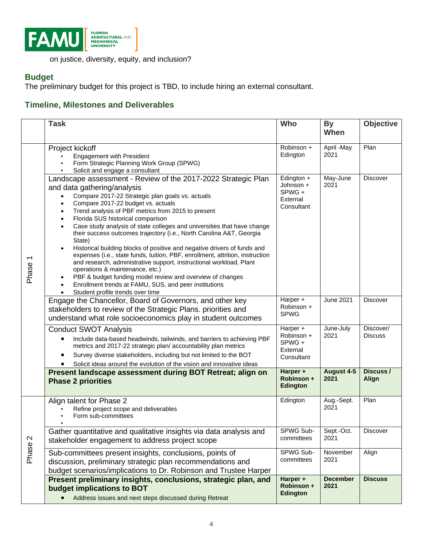

on justice, diversity, equity, and inclusion?

# **Budget**

The preliminary budget for this project is TBD, to include hiring an external consultant.

# **Timeline, Milestones and Deliverables**

|                              | <b>Task</b>                                                                                                                                                                                                                                                                                                                                                                                                                                                                                                                                                                                                                                                                                                                                                                                                                                                                                                                         | Who                                                         | <b>By</b><br>When       | <b>Objective</b>            |
|------------------------------|-------------------------------------------------------------------------------------------------------------------------------------------------------------------------------------------------------------------------------------------------------------------------------------------------------------------------------------------------------------------------------------------------------------------------------------------------------------------------------------------------------------------------------------------------------------------------------------------------------------------------------------------------------------------------------------------------------------------------------------------------------------------------------------------------------------------------------------------------------------------------------------------------------------------------------------|-------------------------------------------------------------|-------------------------|-----------------------------|
| Phase <sub>1</sub>           | Project kickoff<br><b>Engagement with President</b><br>Form Strategic Planning Work Group (SPWG)<br>Solicit and engage a consultant                                                                                                                                                                                                                                                                                                                                                                                                                                                                                                                                                                                                                                                                                                                                                                                                 | $\overline{Robinson}$ +<br>Edington                         | April -May<br>2021      | Plan                        |
|                              | Landscape assessment - Review of the 2017-2022 Strategic Plan<br>and data gathering/analysis<br>Compare 2017-22 Strategic plan goals vs. actuals<br>Compare 2017-22 budget vs. actuals<br>$\bullet$<br>Trend analysis of PBF metrics from 2015 to present<br>$\bullet$<br>Florida SUS historical comparison<br>$\bullet$<br>Case study analysis of state colleges and universities that have change<br>$\bullet$<br>their success outcomes trajectory (i.e., North Carolina A&T, Georgia<br>State)<br>Historical building blocks of positive and negative drivers of funds and<br>expenses (i.e., state funds, tuition, PBF, enrollment, attrition, instruction<br>and research, administrative support, instructional workload, Plant<br>operations & maintenance, etc.)<br>PBF & budget funding model review and overview of changes<br>Enrollment trends at FAMU, SUS, and peer institutions<br>Student profile trends over time | Edington +<br>Johnson +<br>SPWG +<br>External<br>Consultant | May-June<br>2021        | <b>Discover</b>             |
|                              | Engage the Chancellor, Board of Governors, and other key<br>stakeholders to review of the Strategic Plans. priorities and<br>understand what role socioeconomics play in student outcomes                                                                                                                                                                                                                                                                                                                                                                                                                                                                                                                                                                                                                                                                                                                                           | Harper +<br>Robinson +<br><b>SPWG</b>                       | <b>June 2021</b>        | <b>Discover</b>             |
|                              | <b>Conduct SWOT Analysis</b><br>Include data-based headwinds, tailwinds, and barriers to achieving PBF<br>metrics and 2017-22 strategic plan/ accountability plan metrics<br>Survey diverse stakeholders, including but not limited to the BOT<br>Solicit ideas around the evolution of the vision and innovative ideas                                                                                                                                                                                                                                                                                                                                                                                                                                                                                                                                                                                                             | Harper +<br>Robinson +<br>SPWG +<br>External<br>Consultant  | June-July<br>2021       | Discover/<br><b>Discuss</b> |
|                              | Present landscape assessment during BOT Retreat; align on<br><b>Phase 2 priorities</b>                                                                                                                                                                                                                                                                                                                                                                                                                                                                                                                                                                                                                                                                                                                                                                                                                                              | Harper +<br>Robinson +<br><b>Edington</b>                   | August 4-5<br>2021      | Discuss /<br>Align          |
| $\boldsymbol{\sim}$<br>Phase | Align talent for Phase 2<br>Refine project scope and deliverables<br>Form sub-committees                                                                                                                                                                                                                                                                                                                                                                                                                                                                                                                                                                                                                                                                                                                                                                                                                                            | Edington                                                    | Aug.-Sept.<br>2021      | Plan                        |
|                              | Gather quantitative and qualitative insights via data analysis and<br>stakeholder engagement to address project scope                                                                                                                                                                                                                                                                                                                                                                                                                                                                                                                                                                                                                                                                                                                                                                                                               | SPWG Sub-<br>committees                                     | Sept.-Oct.<br>2021      | <b>Discover</b>             |
|                              | Sub-committees present insights, conclusions, points of<br>discussion, preliminary strategic plan recommendations and<br>budget scenarios/implications to Dr. Robinson and Trustee Harper                                                                                                                                                                                                                                                                                                                                                                                                                                                                                                                                                                                                                                                                                                                                           | SPWG Sub-<br>committees                                     | November<br>2021        | Align                       |
|                              | Present preliminary insights, conclusions, strategic plan, and<br>budget implications to BOT<br>Address issues and next steps discussed during Retreat                                                                                                                                                                                                                                                                                                                                                                                                                                                                                                                                                                                                                                                                                                                                                                              | Harper +<br>Robinson +<br><b>Edington</b>                   | <b>December</b><br>2021 | <b>Discuss</b>              |